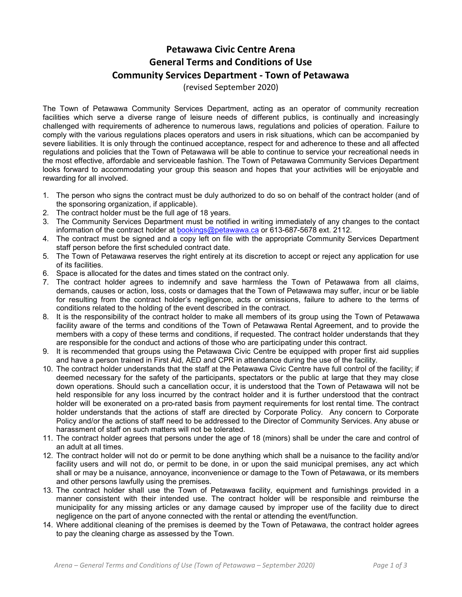## **Petawawa Civic Centre Arena General Terms and Conditions of Use Community Services Department - Town of Petawawa**

(revised September 2020)

The Town of Petawawa Community Services Department, acting as an operator of community recreation facilities which serve a diverse range of leisure needs of different publics, is continually and increasingly challenged with requirements of adherence to numerous laws, regulations and policies of operation. Failure to comply with the various regulations places operators and users in risk situations, which can be accompanied by severe liabilities. It is only through the continued acceptance, respect for and adherence to these and all affected regulations and policies that the Town of Petawawa will be able to continue to service your recreational needs in the most effective, affordable and serviceable fashion. The Town of Petawawa Community Services Department looks forward to accommodating your group this season and hopes that your activities will be enjoyable and rewarding for all involved.

- 1. The person who signs the contract must be duly authorized to do so on behalf of the contract holder (and of the sponsoring organization, if applicable).
- 2. The contract holder must be the full age of 18 years.
- 3. The Community Services Department must be notified in writing immediately of any changes to the contact information of the contract holder at [bookings@petawawa.ca](mailto:bookings@petawawa.ca) or 613-687-5678 ext. 2112.
- 4. The contract must be signed and a copy left on file with the appropriate Community Services Department staff person before the first scheduled contract date.
- 5. The Town of Petawawa reserves the right entirely at its discretion to accept or reject any application for use of its facilities.
- 6. Space is allocated for the dates and times stated on the contract only.
- 7. The contract holder agrees to indemnify and save harmless the Town of Petawawa from all claims, demands, causes or action, loss, costs or damages that the Town of Petawawa may suffer, incur or be liable for resulting from the contract holder's negligence, acts or omissions, failure to adhere to the terms of conditions related to the holding of the event described in the contract.
- 8. It is the responsibility of the contract holder to make all members of its group using the Town of Petawawa facility aware of the terms and conditions of the Town of Petawawa Rental Agreement, and to provide the members with a copy of these terms and conditions, if requested. The contract holder understands that they are responsible for the conduct and actions of those who are participating under this contract.
- 9. It is recommended that groups using the Petawawa Civic Centre be equipped with proper first aid supplies and have a person trained in First Aid, AED and CPR in attendance during the use of the facility.
- 10. The contract holder understands that the staff at the Petawawa Civic Centre have full control of the facility; if deemed necessary for the safety of the participants, spectators or the public at large that they may close down operations. Should such a cancellation occur, it is understood that the Town of Petawawa will not be held responsible for any loss incurred by the contract holder and it is further understood that the contract holder will be exonerated on a pro-rated basis from payment requirements for lost rental time. The contract holder understands that the actions of staff are directed by Corporate Policy. Any concern to Corporate Policy and/or the actions of staff need to be addressed to the Director of Community Services. Any abuse or harassment of staff on such matters will not be tolerated.
- 11. The contract holder agrees that persons under the age of 18 (minors) shall be under the care and control of an adult at all times.
- 12. The contract holder will not do or permit to be done anything which shall be a nuisance to the facility and/or facility users and will not do, or permit to be done, in or upon the said municipal premises, any act which shall or may be a nuisance, annoyance, inconvenience or damage to the Town of Petawawa, or its members and other persons lawfully using the premises.
- 13. The contract holder shall use the Town of Petawawa facility, equipment and furnishings provided in a manner consistent with their intended use. The contract holder will be responsible and reimburse the municipality for any missing articles or any damage caused by improper use of the facility due to direct negligence on the part of anyone connected with the rental or attending the event/function.
- 14. Where additional cleaning of the premises is deemed by the Town of Petawawa, the contract holder agrees to pay the cleaning charge as assessed by the Town.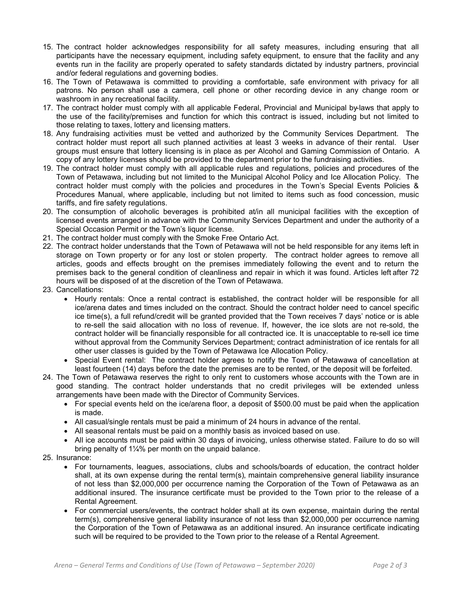- 15. The contract holder acknowledges responsibility for all safety measures, including ensuring that all participants have the necessary equipment, including safety equipment, to ensure that the facility and any events run in the facility are properly operated to safety standards dictated by industry partners, provincial and/or federal regulations and governing bodies.
- 16. The Town of Petawawa is committed to providing a comfortable, safe environment with privacy for all patrons. No person shall use a camera, cell phone or other recording device in any change room or washroom in any recreational facility.
- 17. The contract holder must comply with all applicable Federal, Provincial and Municipal by-laws that apply to the use of the facility/premises and function for which this contract is issued, including but not limited to those relating to taxes, lottery and licensing matters.
- 18. Any fundraising activities must be vetted and authorized by the Community Services Department. The contract holder must report all such planned activities at least 3 weeks in advance of their rental. User groups must ensure that lottery licensing is in place as per Alcohol and Gaming Commission of Ontario. A copy of any lottery licenses should be provided to the department prior to the fundraising activities.
- 19. The contract holder must comply with all applicable rules and regulations, policies and procedures of the Town of Petawawa, including but not limited to the Municipal Alcohol Policy and Ice Allocation Policy. The contract holder must comply with the policies and procedures in the Town's Special Events Policies & Procedures Manual, where applicable, including but not limited to items such as food concession, music tariffs, and fire safety regulations.
- 20. The consumption of alcoholic beverages is prohibited at/in all municipal facilities with the exception of licensed events arranged in advance with the Community Services Department and under the authority of a Special Occasion Permit or the Town's liquor license.
- 21. The contract holder must comply with the Smoke Free Ontario Act.
- 22. The contract holder understands that the Town of Petawawa will not be held responsible for any items left in storage on Town property or for any lost or stolen property. The contract holder agrees to remove all articles, goods and effects brought on the premises immediately following the event and to return the premises back to the general condition of cleanliness and repair in which it was found. Articles left after 72 hours will be disposed of at the discretion of the Town of Petawawa.
- 23. Cancellations:
	- · Hourly rentals: Once a rental contract is established, the contract holder will be responsible for all ice/arena dates and times included on the contract. Should the contract holder need to cancel specific ice time(s), a full refund/credit will be granted provided that the Town receives 7 days' notice or is able to re-sell the said allocation with no loss of revenue. If, however, the ice slots are not re-sold, the contract holder will be financially responsible for all contracted ice. It is unacceptable to re-sell ice time without approval from the Community Services Department; contract administration of ice rentals for all other user classes is guided by the Town of Petawawa Ice Allocation Policy.
	- · Special Event rental: The contract holder agrees to notify the Town of Petawawa of cancellation at least fourteen (14) days before the date the premises are to be rented, or the deposit will be forfeited.
- 24. The Town of Petawawa reserves the right to only rent to customers whose accounts with the Town are in good standing. The contract holder understands that no credit privileges will be extended unless arrangements have been made with the Director of Community Services.
	- For special events held on the ice/arena floor, a deposit of \$500.00 must be paid when the application is made.
	- · All casual/single rentals must be paid a minimum of 24 hours in advance of the rental.
	- · All seasonal rentals must be paid on a monthly basis as invoiced based on use.
	- · All ice accounts must be paid within 30 days of invoicing, unless otherwise stated. Failure to do so will bring penalty of 1¼% per month on the unpaid balance.
- 25. Insurance:
	- · For tournaments, leagues, associations, clubs and schools/boards of education, the contract holder shall, at its own expense during the rental term(s), maintain comprehensive general liability insurance of not less than \$2,000,000 per occurrence naming the Corporation of the Town of Petawawa as an additional insured. The insurance certificate must be provided to the Town prior to the release of a Rental Agreement.
	- · For commercial users/events, the contract holder shall at its own expense, maintain during the rental term(s), comprehensive general liability insurance of not less than \$2,000,000 per occurrence naming the Corporation of the Town of Petawawa as an additional insured. An insurance certificate indicating such will be required to be provided to the Town prior to the release of a Rental Agreement.